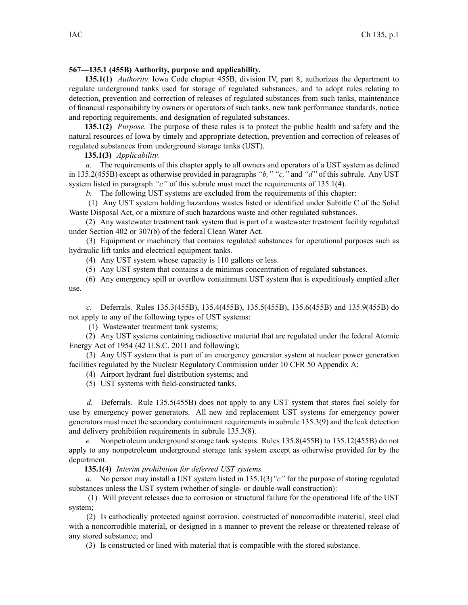## **567—135.1 (455B) Authority, purpose and applicability.**

**135.1(1)** *Authority.* Iowa Code chapter 455B, division IV, par<sup>t</sup> 8, authorizes the department to regulate underground tanks used for storage of regulated substances, and to adopt rules relating to detection, prevention and correction of releases of regulated substances from such tanks, maintenance of financial responsibility by owners or operators of such tanks, new tank performance standards, notice and reporting requirements, and designation of regulated substances.

**135.1(2)** *Purpose.* The purpose of these rules is to protect the public health and safety and the natural resources of Iowa by timely and appropriate detection, prevention and correction of releases of regulated substances from underground storage tanks (UST).

## **135.1(3)** *Applicability.*

*a.* The requirements of this chapter apply to all owners and operators of <sup>a</sup> UST system as defined in 135.2(455B) excep<sup>t</sup> as otherwise provided in paragraphs *"b," "c,"* and *"d"* of this subrule. Any UST system listed in paragraph *"c"* of this subrule must meet the requirements of 135.1(4).

*b.* The following UST systems are excluded from the requirements of this chapter:

(1) Any UST system holding hazardous wastes listed or identified under Subtitle C of the Solid Waste Disposal Act, or <sup>a</sup> mixture of such hazardous waste and other regulated substances.

(2) Any wastewater treatment tank system that is par<sup>t</sup> of <sup>a</sup> wastewater treatment facility regulated under Section 402 or 307(b) of the federal Clean Water Act.

(3) Equipment or machinery that contains regulated substances for operational purposes such as hydraulic lift tanks and electrical equipment tanks.

(4) Any UST system whose capacity is 110 gallons or less.

(5) Any UST system that contains <sup>a</sup> de minimus concentration of regulated substances.

(6) Any emergency spill or overflow containment UST system that is expeditiously emptied after use.

*c.* Deferrals. Rules 135.3(455B), 135.4(455B), 135.5(455B), 135.6(455B) and 135.9(455B) do not apply to any of the following types of UST systems:

(1) Wastewater treatment tank systems;

(2) Any UST systems containing radioactive material that are regulated under the federal Atomic Energy Act of 1954 (42 U.S.C. 2011 and following);

(3) Any UST system that is par<sup>t</sup> of an emergency generator system at nuclear power generation facilities regulated by the Nuclear Regulatory Commission under 10 CFR 50 Appendix A;

(4) Airport hydrant fuel distribution systems; and

(5) UST systems with field-constructed tanks.

*d.* Deferrals. Rule 135.5(455B) does not apply to any UST system that stores fuel solely for use by emergency power generators. All new and replacement UST systems for emergency power generators must meet the secondary containment requirements in subrule 135.3(9) and the leak detection and delivery prohibition requirements in subrule 135.3(8).

*e.* Nonpetroleum underground storage tank systems. Rules 135.8(455B) to 135.12(455B) do not apply to any nonpetroleum underground storage tank system excep<sup>t</sup> as otherwise provided for by the department.

**135.1(4)** *Interim prohibition for deferred UST systems.*

*a.* No person may install <sup>a</sup> UST system listed in 135.1(3)*"c"* for the purpose of storing regulated substances unless the UST system (whether of single- or double-wall construction):

(1) Will preven<sup>t</sup> releases due to corrosion or structural failure for the operational life of the UST system;

(2) Is cathodically protected against corrosion, constructed of noncorrodible material, steel clad with <sup>a</sup> noncorrodible material, or designed in <sup>a</sup> manner to preven<sup>t</sup> the release or threatened release of any stored substance; and

(3) Is constructed or lined with material that is compatible with the stored substance.